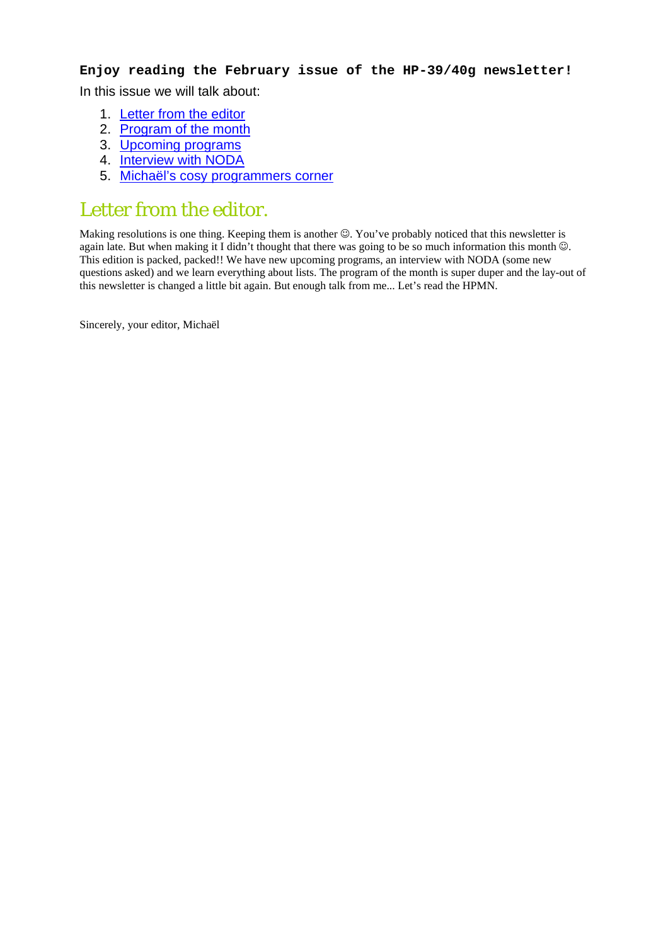#### **Enjoy reading the February issue of the HP-39/40g newsletter!**

In this issue we will talk about:

- 1. [Letter from the editor](#page-1-0)
- 2. [Program of the month](#page-1-1)
- 3. [Upcoming programs](#page-1-2)
- 4. [Interview with NODA](#page-3-0)
- 5. [Michaël's cosy programmers corner](#page-4-0)

### Letter from the editor.

Making resolutions is one thing. Keeping them is another ☺. You've probably noticed that this newsletter is again late. But when making it I didn't thought that there was going to be so much information this month  $\odot$ . This edition is packed, packed!! We have new upcoming programs, an interview with NODA (some new questions asked) and we learn everything about lists. The program of the month is super duper and the lay-out of this newsletter is changed a little bit again. But enough talk from me... Let's read the HPMN.

Sincerely, your editor, Michaël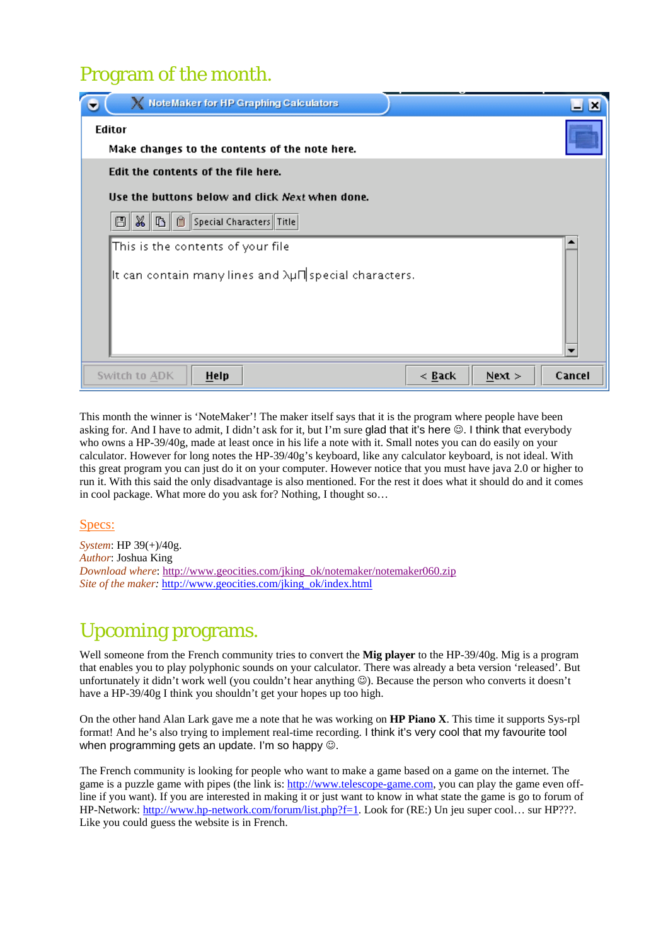## Program of the month.

<span id="page-1-0"></span>

| X NoteMaker for HP Graphing Calculators                           | $-1$ $\times$ |
|-------------------------------------------------------------------|---------------|
| <b>Editor</b>                                                     |               |
| Make changes to the contents of the note here.                    |               |
| Edit the contents of the file here.                               |               |
| Use the buttons below and click Next when done.                   |               |
| 图 8 6 8 Special Characters Title                                  |               |
| This is the contents of your file                                 |               |
| It can contain many lines and $\lambda\mu\Pi$ special characters. |               |
|                                                                   |               |
|                                                                   |               |
|                                                                   |               |
| Next ><br>Switch to ADK<br>$<$ Back<br>Help                       | Cancel        |

<span id="page-1-1"></span>This month the winner is 'NoteMaker'! The maker itself says that it is the program where people have been asking for. And I have to admit, I didn't ask for it, but I'm sure glad that it's here  $\heartsuit$ . I think that everybody who owns a HP-39/40g, made at least once in his life a note with it. Small notes you can do easily on your calculator. However for long notes the HP-39/40g's keyboard, like any calculator keyboard, is not ideal. With this great program you can just do it on your computer. However notice that you must have java 2.0 or higher to run it. With this said the only disadvantage is also mentioned. For the rest it does what it should do and it comes in cool package. What more do you ask for? Nothing, I thought so…

#### Specs:

*System*: HP 39(+)/40g. *Author*: Joshua King *Download where*: [http://www.geocities.com/jking\\_ok/notemaker/notemaker060.zip](http://www.geocities.com/jking_ok/notemaker/notemaker060.zip) *Site of the maker: [http://www.geocities.com/jking\\_ok/index.html](http://www.geocities.com/jking_ok/index.html)* 

## <span id="page-1-2"></span>Upcoming programs.

Well someone from the French community tries to convert the **Mig player** to the HP-39/40g. Mig is a program that enables you to play polyphonic sounds on your calculator. There was already a beta version 'released'. But unfortunately it didn't work well (you couldn't hear anything  $\circledcirc$ ). Because the person who converts it doesn't have a HP-39/40g I think you shouldn't get your hopes up too high.

On the other hand Alan Lark gave me a note that he was working on **HP Piano X**. This time it supports Sys-rpl format! And he's also trying to implement real-time recording. I think it's very cool that my favourite tool when programming gets an update. I'm so happy  $\odot$ .

The French community is looking for people who want to make a game based on a game on the internet. The game is a puzzle game with pipes (the link is: [http://www.telescope-game.com,](http://www.telescope-game.com/) you can play the game even offline if you want). If you are interested in making it or just want to know in what state the game is go to forum of HP-Network: [http://www.hp-network.com/forum/list.php?f=1.](http://www.hp-network.com/forum/list.php?f=1) Look for (RE:) Un jeu super cool… sur HP???. Like you could guess the website is in French.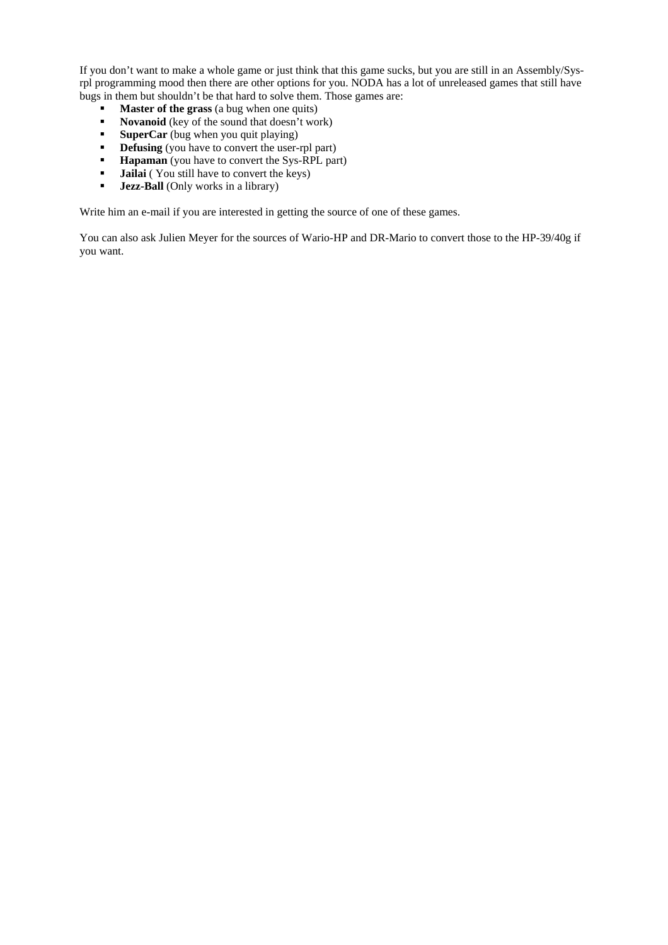If you don't want to make a whole game or just think that this game sucks, but you are still in an Assembly/Sysrpl programming mood then there are other options for you. NODA has a lot of unreleased games that still have bugs in them but shouldn't be that hard to solve them. Those games are:

- **Master of the grass** (a bug when one quits)<br>Novanoid (key of the sound that doesn't wo
- Novanoid (key of the sound that doesn't work)
- **SuperCar** (bug when you quit playing)
- **• Defusing** (you have to convert the user-rpl part)
- **Hapaman** (you have to convert the Sys-RPL part)
- " **Jailai** ( You still have to convert the keys)
- " **Jezz-Ball** (Only works in a library)

Write him an e-mail if you are interested in getting the source of one of these games.

You can also ask Julien Meyer for the sources of Wario-HP and DR-Mario to convert those to the HP-39/40g if you want.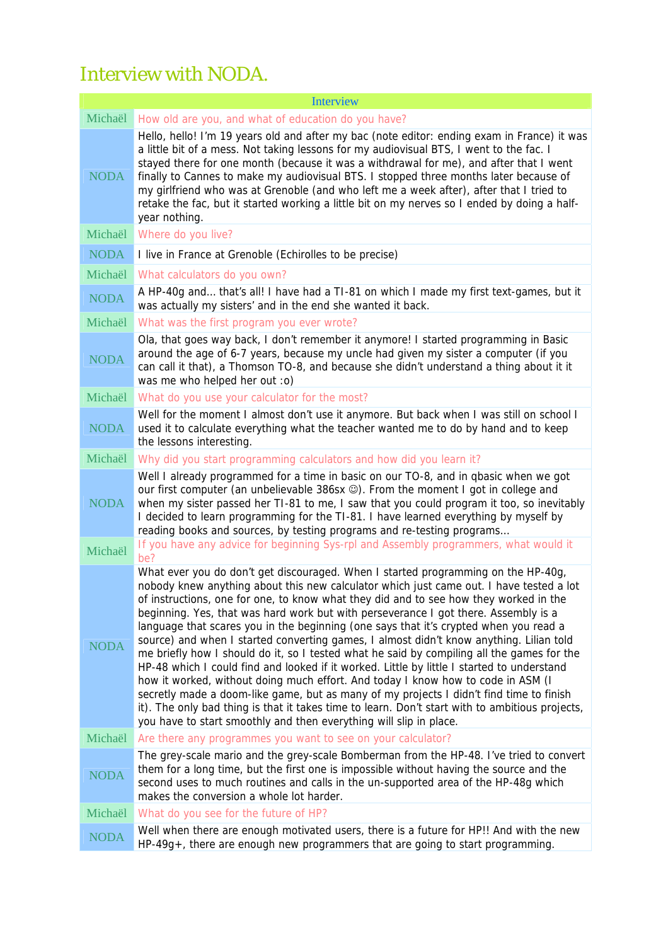# Interview with NODA.

<span id="page-3-0"></span>

| <b>Interview</b> |                                                                                                                                                                                                                                                                                                                                                                                                                                                                                                                                                                                                                                                                                                                                                                                                                                                                                                                                                                                                                                                                                                      |  |
|------------------|------------------------------------------------------------------------------------------------------------------------------------------------------------------------------------------------------------------------------------------------------------------------------------------------------------------------------------------------------------------------------------------------------------------------------------------------------------------------------------------------------------------------------------------------------------------------------------------------------------------------------------------------------------------------------------------------------------------------------------------------------------------------------------------------------------------------------------------------------------------------------------------------------------------------------------------------------------------------------------------------------------------------------------------------------------------------------------------------------|--|
| Michaël          | How old are you, and what of education do you have?                                                                                                                                                                                                                                                                                                                                                                                                                                                                                                                                                                                                                                                                                                                                                                                                                                                                                                                                                                                                                                                  |  |
| <b>NODA</b>      | Hello, hello! I'm 19 years old and after my bac (note editor: ending exam in France) it was<br>a little bit of a mess. Not taking lessons for my audiovisual BTS, I went to the fac. I<br>stayed there for one month (because it was a withdrawal for me), and after that I went<br>finally to Cannes to make my audiovisual BTS. I stopped three months later because of<br>my girlfriend who was at Grenoble (and who left me a week after), after that I tried to<br>retake the fac, but it started working a little bit on my nerves so I ended by doing a half-<br>year nothing.                                                                                                                                                                                                                                                                                                                                                                                                                                                                                                                |  |
| Michaël          | Where do you live?                                                                                                                                                                                                                                                                                                                                                                                                                                                                                                                                                                                                                                                                                                                                                                                                                                                                                                                                                                                                                                                                                   |  |
| <b>NODA</b>      | I live in France at Grenoble (Echirolles to be precise)                                                                                                                                                                                                                                                                                                                                                                                                                                                                                                                                                                                                                                                                                                                                                                                                                                                                                                                                                                                                                                              |  |
| Michaël          | What calculators do you own?                                                                                                                                                                                                                                                                                                                                                                                                                                                                                                                                                                                                                                                                                                                                                                                                                                                                                                                                                                                                                                                                         |  |
| <b>NODA</b>      | A HP-40g and that's all! I have had a TI-81 on which I made my first text-games, but it<br>was actually my sisters' and in the end she wanted it back.                                                                                                                                                                                                                                                                                                                                                                                                                                                                                                                                                                                                                                                                                                                                                                                                                                                                                                                                               |  |
| Michaël          | What was the first program you ever wrote?                                                                                                                                                                                                                                                                                                                                                                                                                                                                                                                                                                                                                                                                                                                                                                                                                                                                                                                                                                                                                                                           |  |
| <b>NODA</b>      | Ola, that goes way back, I don't remember it anymore! I started programming in Basic<br>around the age of 6-7 years, because my uncle had given my sister a computer (if you<br>can call it that), a Thomson TO-8, and because she didn't understand a thing about it it<br>was me who helped her out :o)                                                                                                                                                                                                                                                                                                                                                                                                                                                                                                                                                                                                                                                                                                                                                                                            |  |
| Michaël          | What do you use your calculator for the most?                                                                                                                                                                                                                                                                                                                                                                                                                                                                                                                                                                                                                                                                                                                                                                                                                                                                                                                                                                                                                                                        |  |
| <b>NODA</b>      | Well for the moment I almost don't use it anymore. But back when I was still on school I<br>used it to calculate everything what the teacher wanted me to do by hand and to keep<br>the lessons interesting.                                                                                                                                                                                                                                                                                                                                                                                                                                                                                                                                                                                                                                                                                                                                                                                                                                                                                         |  |
| Michaël          | Why did you start programming calculators and how did you learn it?                                                                                                                                                                                                                                                                                                                                                                                                                                                                                                                                                                                                                                                                                                                                                                                                                                                                                                                                                                                                                                  |  |
| <b>NODA</b>      | Well I already programmed for a time in basic on our TO-8, and in qbasic when we got<br>our first computer (an unbelievable 386sx ©). From the moment I got in college and<br>when my sister passed her TI-81 to me, I saw that you could program it too, so inevitably<br>I decided to learn programming for the TI-81. I have learned everything by myself by<br>reading books and sources, by testing programs and re-testing programs<br>If you have any advice for beginning Sys-rpl and Assembly programmers, what would it                                                                                                                                                                                                                                                                                                                                                                                                                                                                                                                                                                    |  |
| Michaël          | be?                                                                                                                                                                                                                                                                                                                                                                                                                                                                                                                                                                                                                                                                                                                                                                                                                                                                                                                                                                                                                                                                                                  |  |
| <b>NODA</b>      | What ever you do don't get discouraged. When I started programming on the HP-40g,<br>nobody knew anything about this new calculator which just came out. I have tested a lot<br>of instructions, one for one, to know what they did and to see how they worked in the<br>beginning. Yes, that was hard work but with perseverance I got there. Assembly is a<br>language that scares you in the beginning (one says that it's crypted when you read a<br>source) and when I started converting games, I almost didn't know anything. Lilian told<br>me briefly how I should do it, so I tested what he said by compiling all the games for the<br>HP-48 which I could find and looked if it worked. Little by little I started to understand<br>how it worked, without doing much effort. And today I know how to code in ASM (I<br>secretly made a doom-like game, but as many of my projects I didn't find time to finish<br>it). The only bad thing is that it takes time to learn. Don't start with to ambitious projects,<br>you have to start smoothly and then everything will slip in place. |  |
| Michaël          | Are there any programmes you want to see on your calculator?                                                                                                                                                                                                                                                                                                                                                                                                                                                                                                                                                                                                                                                                                                                                                                                                                                                                                                                                                                                                                                         |  |
| <b>NODA</b>      | The grey-scale mario and the grey-scale Bomberman from the HP-48. I've tried to convert<br>them for a long time, but the first one is impossible without having the source and the<br>second uses to much routines and calls in the un-supported area of the HP-48g which<br>makes the conversion a whole lot harder.                                                                                                                                                                                                                                                                                                                                                                                                                                                                                                                                                                                                                                                                                                                                                                                |  |
| Michaël          | What do you see for the future of HP?                                                                                                                                                                                                                                                                                                                                                                                                                                                                                                                                                                                                                                                                                                                                                                                                                                                                                                                                                                                                                                                                |  |
| <b>NODA</b>      | Well when there are enough motivated users, there is a future for HP!! And with the new<br>$HP-49g+$ , there are enough new programmers that are going to start programming.                                                                                                                                                                                                                                                                                                                                                                                                                                                                                                                                                                                                                                                                                                                                                                                                                                                                                                                         |  |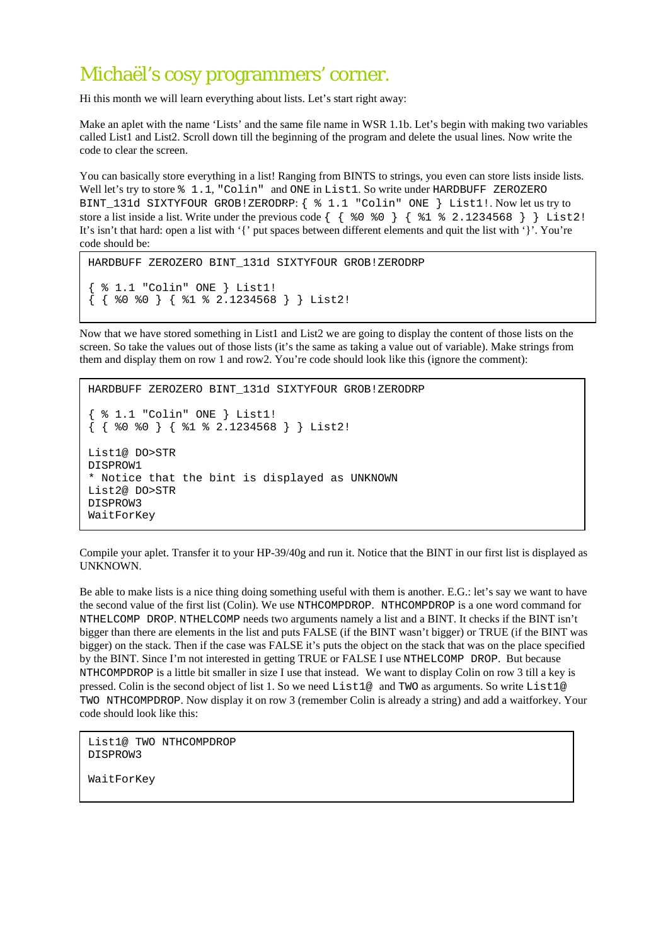## Michaël's cosy programmers' corner.

Hi this month we will learn everything about lists. Let's start right away:

Make an aplet with the name 'Lists' and the same file name in WSR 1.1b. Let's begin with making two variables called List1 and List2. Scroll down till the beginning of the program and delete the usual lines. Now write the code to clear the screen.

You can basically store everything in a list! Ranging from BINTS to strings, you even can store lists inside lists. Well let's try to store  $% 1.1$ , "Colin" and ONE in List1. So write under HARDBUFF ZEROZERO BINT\_131d SIXTYFOUR GROB!ZERODRP: { % 1.1 "Colin" ONE } List1!. Now let us try to store a list inside a list. Write under the previous code  $\{ \{ \$   $\} \$   $\}$   $\{ \$   $\$   $\}$  2.1234568  $\}$   $\}$  List2! It's isn't that hard: open a list with '{' put spaces between different elements and quit the list with '}'. You're code should be:

```
HARDBUFF ZEROZERO BINT_131d SIXTYFOUR GROB!ZERODRP 
{ % 1.1 "Colin" ONE } List1! 
\{ \{ 80, 80 \} \{ 81, 82.1234568 \} \} List2!
```
Now that we have stored something in List1 and List2 we are going to display the content of those lists on the screen. So take the values out of those lists (it's the same as taking a value out of variable). Make strings from them and display them on row 1 and row2. You're code should look like this (ignore the comment):

```
HARDBUFF ZEROZERO BINT_131d SIXTYFOUR GROB!ZERODRP 
  { % 1.1 "Colin" ONE } List1! 
{ { %0 %0 } { %1 % 2.1234568 } } List2! 
List1@ DO>STR 
DISPROW1 
* Notice that the bint is displayed as UNKNOWN 
List2@ DO>STR 
DISPROW3 
WaitForKey
```
Compile your aplet. Transfer it to your HP-39/40g and run it. Notice that the BINT in our first list is displayed as UNKNOWN.

Be able to make lists is a nice thing doing something useful with them is another. E.G.: let's say we want to have the second value of the first list (Colin). We use NTHCOMPDROP. NTHCOMPDROP is a one word command for NTHELCOMP DROP. NTHELCOMP needs two arguments namely a list and a BINT. It checks if the BINT isn't bigger than there are elements in the list and puts FALSE (if the BINT wasn't bigger) or TRUE (if the BINT was bigger) on the stack. Then if the case was FALSE it's puts the object on the stack that was on the place specified by the BINT. Since I'm not interested in getting TRUE or FALSE I use NTHELCOMP DROP. But because NTHCOMPDROP is a little bit smaller in size I use that instead. We want to display Colin on row 3 till a key is pressed. Colin is the second object of list 1. So we need List1@ and TWO as arguments. So write List1@ TWO NTHCOMPDROP. Now display it on row 3 (remember Colin is already a string) and add a waitforkey. Your code should look like this:

```
List1@ TWO NTHCOMPDROP 
DISPROW3 
WaitForKey
```